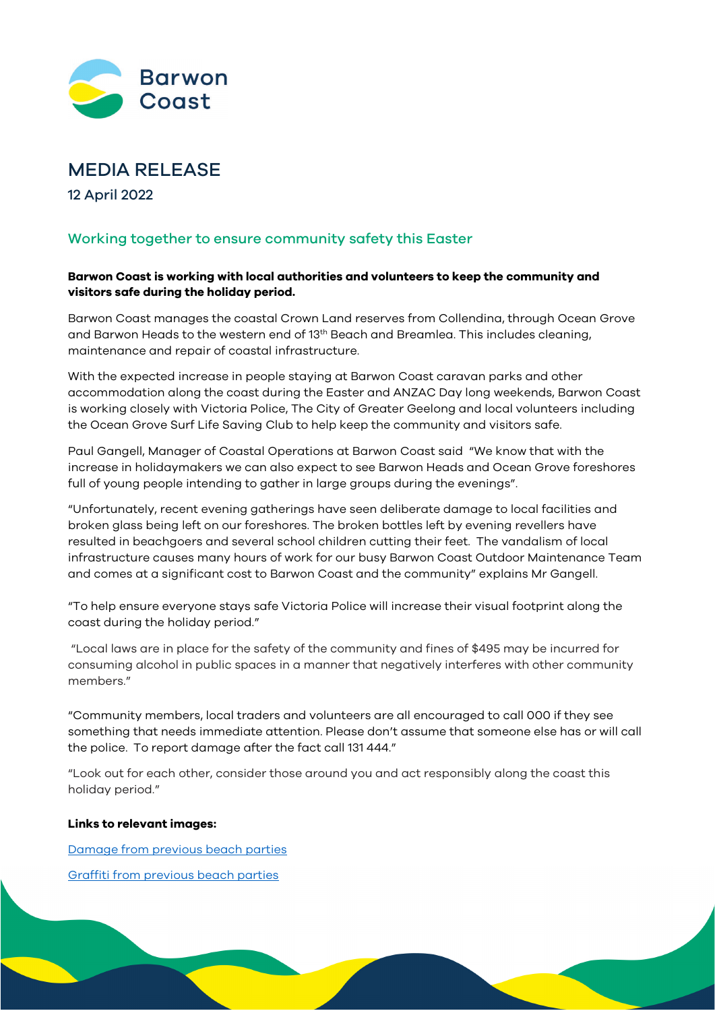

# MEDIA RELEASE

12 April 2022

## Working together to ensure community safety this Easter

### **Barwon Coast is working with local authorities and volunteers to keep the community and visitors safe during the holiday period.**

Barwon Coast manages the coastal Crown Land reserves from Collendina, through Ocean Grove and Barwon Heads to the western end of 13<sup>th</sup> Beach and Breamlea. This includes cleaning, maintenance and repair of coastal infrastructure.

With the expected increase in people staying at Barwon Coast caravan parks and other accommodation along the coast during the Easter and ANZAC Day long weekends, Barwon Coast is working closely with Victoria Police, The City of Greater Geelong and local volunteers including the Ocean Grove Surf Life Saving Club to help keep the community and visitors safe.

Paul Gangell, Manager of Coastal Operations at Barwon Coast said "We know that with the increase in holidaymakers we can also expect to see Barwon Heads and Ocean Grove foreshores full of young people intending to gather in large groups during the evenings".

"Unfortunately, recent evening gatherings have seen deliberate damage to local facilities and broken glass being left on our foreshores. The broken bottles left by evening revellers have resulted in beachgoers and several school children cutting their feet. The vandalism of local infrastructure causes many hours of work for our busy Barwon Coast Outdoor Maintenance Team and comes at a significant cost to Barwon Coast and the community" explains Mr Gangell.

"To help ensure everyone stays safe Victoria Police will increase their visual footprint along the coast during the holiday period."

"Local laws are in place for the safety of the community and fines of \$495 may be incurred for consuming alcohol in public spaces in a manner that negatively interferes with other community members."

"Community members, local traders and volunteers are all encouraged to call 000 if they see something that needs immediate attention. Please don't assume that someone else has or will call the police. To report damage after the fact call 131 444."

"Look out for each other, consider those around you and act responsibly along the coast this holiday period."

#### **Links to relevant images:**

[Damage from previous beach parties](https://barwoncoast-my.sharepoint.com/:i:/g/personal/kylie_barwoncoast_com_au/EZlstu-abghNoOl4zI1ckn8B8g4cqkhZSi25rzzqu5EZvg?e=FewcaZ)

[Graffiti from previous beach parties](https://barwoncoast-my.sharepoint.com/:i:/g/personal/kylie_barwoncoast_com_au/EQwVZDSwTMBJq8WVCKLqb4MBz0AQUWG-Jf5tE38ku7lwPw?e=xrkhxB)